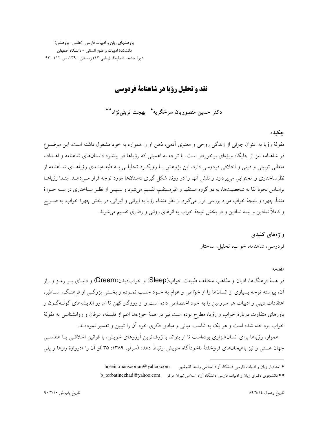پژوهشهای زبان و ادبیات فارسی (علمی- پژوهشی) دانشكدهٔ ادبیات و علوم انسانی - دانشگاه اصفهان دورهٔ جدید، شماره۴، (پیاپی ۱۲) زمستان ۱۳۹۰، ص ۱۱۲- ۹۳

# نقد و تحلیل رؤیا در شاهنامهٔ فردوسی

دکتر حسین منصوریان سرخگریه\* – بهجت تربتی نژاد\*\*

# چکیده

مقولهٔ رؤیا به عنوان جزئی از زندگی روحی و معنوی آدمی، ذهن او را همواره به خود مشغول داشته است. این موضـوع در شاهنامه نیز از جایگاه ویژهای برخوردار است. با توجه به اهمیتی که رؤیاها در پیشبرد داستانهای شاهنامه و اهــداف متعالی تربیتی و دینی و اخلاقی فردوسی دارد، این یژوهش بـا رویکـرد تحلیلـی بـه طبقــهبنـدی رؤیاهــای شــاهنامه از نظرساختاری و محتوایی می پردازد و نقش آنها را در روند شکل گیری داستانها مورد توجه قرار مـی۵هـد. ابتـدا رؤیاهـا براساس نحوهٔ القا به شخصیتها، به دو گروه مستقیم و غیرمستقیم، تقسیم میشود و سـپس از نظـر سـاختاری در سـه حــوزهٔ منشأ، چهره و نتیجهٔ خواب مورد بررسی قرار می گیرد. از نظر منشاء رؤیا به ایرانی و انیرانی، در بخش چهرهٔ خواب، به صـریح و کاملاً نمادین و نیمه نمادین و در بخش نتیجهٔ خواب به اثرهای روانی و رفتاری تقسیم می شوند.

> واژەهای کلیدی فردوسی، شاهنامه، خواب، تحلیل، ساختار

### مقدمه

در همهٔ فرهنگها، ادیان و مذاهب مختلف طبیعت خواب(Sleep) و خوابدیدن(Dreem) و دنیـای پــر رمــز و راز آن، پیوسته توجه بسیاری از انسانها را از خواص و عوام به خـود جلـب نمـوده و بخـش بزرگـی از فرهنـگ، اسـاطیر، اعتقادات دینی و ادبیات هر سرزمین را به خود اختصاص داده است و از روزگار کهن تا امروز اندیشههای گونــهگــون و باورهای متفاوت دربارهٔ خواب و رؤیا، مطرح بوده است نیز در همهٔ حوزهها اعم از فلسفه، عرفان و روانشناسی به مقولهٔ خواب پرداخته شده است و هر یک به تناسب مبانی و مبادی فکری خود آن را تبیین و تفسیر نمودهاند.

همواره رؤیاها برای انسان«ابزاری بودهاست تا او بتواند با ژرفترین اَرزوهای خویش، با قوانین اخلاقـبی یــا هندسـبی جهان هستمي و نيز باهيجانهاي فروخفتهٔ ناخودآگاه خويش ارتباط دهد» (سرلو، ١٣٨٩: ٣۵ )و آن را «دروازهٔ رازها و يلي

hosein.mansoorian@yahoo.com \* استادیار زبان و ادبیات فارسی دانشگاه آزاد اسلامی واحد قائمشهر

<sup>\*\*</sup> دانشجوی دکتری زبان و ادبیات فارسی دانشگاه آزاد اسلامی تهران مرکز b\_torbatinezhad@yahoo.com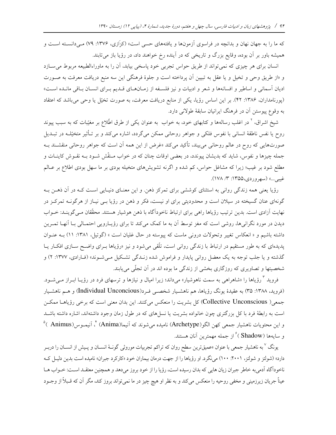که ما را به جهان نهان و بدانچه در فراسوی آزمونها و یافتههای حسی است» (کزازی، ۱۳۷۶: ۷۹) مـیدانسـته اسـت و همیشه باور بر آن بوده، وقایع بزرگ و تاریخی که در آینده رخ خواهند داد، در رؤیا باز می تابند.

انسان برای هر چیزی که نمی تواند از طریق حواس تجربی خود پاسخی بیابد، آن را به ماوراءالطبیعه مربوط می سـازد و «از طریق وحی و تخیل و یا عقل به تبیین آن پرداخته است و جلوهٔ فرهنگی این سه منبع دریافت معرفت به صـورت ادیان آسمانی و اساطیر و افسانهها و شعر و ادبیات و نیز فلسـفه از زمـانهـای قـدیم بـرای انسـان بـاقی مانـده اسـت» (پورنامداران، ۱۳۸۶: ۴۲). بر این اساس رؤیا، یکی از منابع دریافت معرفت، به صورت تخیّل یا وحی میباشد که اعتقاد به وقوع پیوستن آن در فرهنگ ایرانیان سابقهٔ طولانی دارد.

شیخ اشراق، <sup>۲</sup> در اغلب رسالهها و کتابهای خود، به خواب به عنوان یکی از طرق اطّلاع بر مغیّبات که به سبب پیوند روح یا نفس ناطقهٔ انسانی با نفوس فلکی و جواهر روحانی ممکن میگردد، اشاره میکند و بر تـأثیر متخیّلــه در تبــدیل صورتهایی که روح در عالم روحانی می بیند، تأکید میکند «غرض از این همه آن است که جواهر روحانی منقشـند بــه جمله چیزها و نفوس، شاید که بدیشان پیوندد، در بعضی اوقات چنان که در خواب مـنقّش شـود بـه نقـوش کاینــات و مطلع شود بر غیب؛ زیرا که مشاغل حواس، کم شده و اگرنه تشویشهای متخیله بودی بر ما سهل بودی اطلاع بر عـالم غيبي...» (سهروردي،۱۳۵۵: ۳/ ۱۷۸).

رؤیا یعنی همه زندگی روانی به استثنای کوششی برای تمرکز ذهن. و این معنـای دنیـایی اسـت کـه در آن ذهـن بـه گونهای عنان گسیخته در سیلان است و محدودیتی برای او نیست، فکر و ذهن در رؤیا بــی نیــاز از هرگونــه تمرکــز در نهایت آزادی است. بدین ترتیب رؤیاها راهی برای ارتباط ناخودآگاه با ذهن هوشیار هستند. محقّقان مـیگوینـد: خــواب دیدن در مورد نگرانیها، روشی است که مغز توسط آن به ما کمک میکند تا برای رؤیـارویی احتمـالی بـا آنهـا تمـرین داشته باشیم و « انعکاس تغییر وتحولات درونی ماست که پیوسته در حال غلیان است » (گوتیل، ۱۳۸۱: ۱۱) بـه عنـوان پدیدهای که به طور مستقیم در ارتباط با زندگی روانی است، تلّقی می شود و نیز «رؤیاها بـرای واضـح سـازی افکـار یـا گذشته و یا جلب توجه به یک معضل روانی پایدار و فراموش شده زنــدگی تشــکیل مــیشــوند» (فــارادی، ۱۳۷۷: ۲) و شخصیتها و تصاویری که روزگاری بخشی از زندگی ما بوده اند در آن تجلّی می یابند.

فروید <sup>۳</sup> رؤیاها را «شاهراهی به سمت ناهوشیار» میداند؛ زیرا امیال و نیازها و ترسهای فرد در رؤیــا ابــراز مــیشــود. (فروید، ۱۳۸۸: ۳۵) به عقیدهٔ یونگ رؤیاها، هم ناهشـیار شخصــی فــرد(Individual Unconcious) و هــم ناهشـیار جمعي( Collective Unconscious) كل بشريت را منعكس مي كنند. اين بدان معنى است كه برخي رؤياهـا ممكـن است به رابطهٔ فرد با کل بزرگتری چون خانواده بشریت یا نسلهای که در طول زمان وجود داشتهاند، اشاره داشته باشـد و اين محتويات ناهشيار جمعي كهن الگو(Archetype) ناميده مي شوند كه آنيما(Anima) <sup>٢</sup>، آنيمـوس(Animus )<sup>٥</sup> و سايهها (Shadow ) ُ از جمله مهمترين آنان هستند.

یونگ <sup>۷</sup> به ناهشیار جمعی با عنوان «عمیقترین سطح روان که تراکم تجربیات موروثی گونـهٔ انســان و پـیش از انســان را دربــر دارد» (شولتز و شولتز، ۲۰۰۱: ۲۰۰) می نگرد. او رؤیاها را از جهت درمان بیماران خود «کارکرد جبران» نامیده است بدین دلیـل کـه ناخودآگاه آدميبه خاطر جبران زيان هايي كه بدان رسيده است، رؤيا را از خود بروز مي دهد و همچنين معتقـد اسـت: خـواب هـا عیناً جریان زیرزمینی و مخفی روحیه را منعکس میکند و به نظر او هیچ چیز در ما نمیتواند بروز کند، مگر آن که قـبلاً از وجـود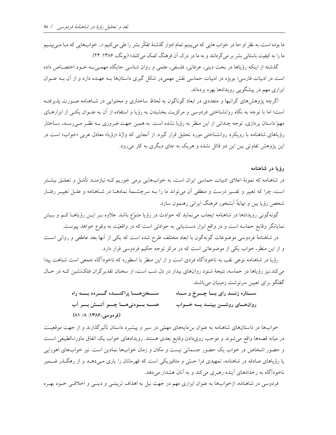ما بوده است. به نظر او «ما در خواب هایی که می بینیم تمام ادوار گذشتهٔ تفکّر بشر را طی میکنیم «... خوابهایی که مـا مـی.پینـیم ما را به کیفیت باستانی بشر بر میگردانند و به ما در درک آن فرهنگ کمک می کنند» (یونگ، ۱۳۸۶: ۲۴).

گذشته از اینکه رؤیاها در بحث دینی، عرفانی، فلسفی، علمی و روان شناسی جایگاه مهمـیبـه خـود اختصـاص داده است در ادبیات فارسی؛ بویژه در ادبیات حماسی نقش مهمیدر شکل گیری داستانها بـه عهـده دارد و از آن بـه عنـوان ابزاری مهم در پیشگویی رویدادها بهره بردهاند.

اگرچه پژوهشهای گرانبها و متعددی در ابعاد گوناگون به لحاظ ساختاری و محتوایی در شـاهنامه صـورت پذیرفتـه است؛ اما با توجه به نگاه روانشناختی فردوسی و مرکزیت بخشیدن به رؤیا و استفاده از آن به عنـوان یکـی از ابزارهـای مهمّ داستان پردازی، توجه چندانی از این منظر به رؤیا نشده است. به همین جهت ضروری بــه نظـر مــی(سـد، ســاختار رؤیاهای شاهنامه با رویکرد روانشناختی مورد تحلیل قرار گیرد. از آنجایی که واژهٔ «رؤیا» معادل عربی «خواب» است در این پژوهش تفاوتی بین این دو قائل نشده و هریک به جای دیگری به کار میرود.

### رؤیا در شاهنامه

در شاهنامه که نمونهٔ اعلای ادبیات حماسی ایران است، به خوابهایی برمی خوریم کـه نیازمنـد تأمّـل و تعمّـق بیشــتر است، چرا که تعبیر و تفسیر درست و منطقی آن میتواند ما را بـه سرچشـمهٔ نمادهـا در شـاهنامه و علـل تغییـر رفتـار شخص رؤيا بين و نهايةً آبشخور فرهنگ ايراني رهنمون سازد.

گونهگونی رویدادها در شاهنامه ایجاب می نماید که حوادث در رؤیا متنوّع باشد. علاوه بـر ایــن رؤیاهــا کــم و بــیش نمایانگر وقایع حماسه است و در واقع ابزار دستیابی به حوادثی است که در واقعیّت به وقوع خواهد پیوست. در شاهنامهٔ فردوسی موضوعات گونهگون با ابعاد مختلف طرح شده است که یکی از آنها بعد عاطفی و روانی است

و از این منظر، خواب یکی از موضوعاتی است که در مرکز توجه حکیم فردوسی قرار دارد.

رؤيا در شاهنامه نوعي نقب به ناخودآگاه فردي است و از اين منظر با اسطوره كه ناخودآگاه جمعي است شباهت پيدا می کند.نیز رؤیاها در حماسه، نتیجهٔ شنود روانهای بیدار در دل شب است، از سخنان تقدیرگران فلکنشین کـه در حـال گفتگو برای تعیین سرنوشت زمینیان می باشند.

> ستخزهنا يراكنسده كسردد بسته راه ســـتاره زنـــد رای بـــا چــــرخ و مـــاه همـــه بــودنىهــا چــو اَتــش بــر اَب روانهسای روشسن ببینسد بسه خسواب (فو دوسی، ۱۳۸۶: ۸۱/ ۸۱)

خوابها در داستانهای شاهنامه به عنوان بن مایههای مهمّی در سیر و پیشبرد داستان تأثیرگذارند و از جهت موقعیت در میانه قصهها واقع میشوند و موجب رویدادن وقایع بعدی هستند. رویدادهای خواب یک اتفاق ماوراءالطبیعی است و حضور اشخاص در خواب یک حضور جسمانی نیست و مکان و زمان خوابها نمادین است. نیز خوابهای اهورایی یا رؤیاهای صادقه در شاهنامه، تمهیدی فرا حسّی و متافیزیکی است که قهرمانان را یاری مـیدهــد و از رهگــذر ضــمیر ناخودآگاه به رخدادهای آینده رهبری میکند و به آنان هشدار میدهد.

فردوسی در شاهنامه، ازخوابها به عنوان ابزاری مهم در جهت نیل به اهداف تربیتـی و دینـی و اخلاقـی خــود بهـره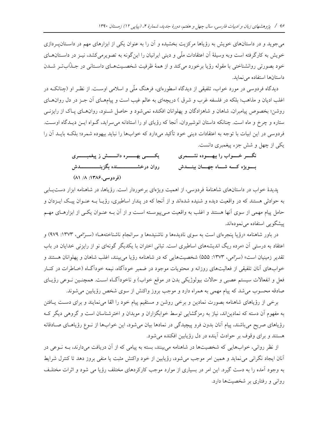میجوید و در داستانهای خویش به رؤیاها مرکزیت بخشیده و آن را به عنوان یکی از ابزارهای مهم در داسـتانEپـردازی خویش به کارگرفته است وبه وسیلهٔ آن اعتقادات ملّی و دینی ایرانیان را اینگونه به تصویرمیکشد، نیـز در داسـتانهــای خود بصورتی روانشناختی با مقوله رؤیا برخورد میکند و از همهٔ ظرفیت شخصـیتهـای داسـتانی در جــذّابتــر شــدن داستانها استفاده می نماید.

دیدگاه فردوسی در مورد خواب، تلفیقی از دیدگاه اسطورهای، فرهنگ ملّی و اسلامی اوست. از نظـر او (چنانکــه در اغلب ادیان و مذاهب؛ بلکه در فلسفه غرب و شرق ) دریچهای به عالم غیب است و پیامهـای آن جـز در دل روانهـای روشن؛ بخصوص پیامبران، شاهان و شاهزادگان و پهلوانان افکنده نمیشود و حاصل شـنود، روانهـای پـاک از رایزنــی ستاره و چرخ و ماه است. چنانکه داستان انوشیروان، آنجا که رؤیای او را استادانه میسراید، گـواه ایــن دیــدگاه اوســت. فردوسی در این ابیات با توجه به اعتقادات دینی خود تأکید میدارد که خوابها را نباید بیهوده شمرد؛ بلکـه بایــد آن را يکي از چهل و شش جزء پيغمبري دانست.

> نگسر خسواب را بیهسوده نشسمری یکـــــــــــــــــــره دانــــــــش ز پیغمبـــــــــری روان درخشـــــــــــــنده بگزینــــــــــــــدش بسويژه كسه شساه جهسان بينسدش (فر دوسی،۱۳۸۶: ۸۱/ ۸۱)

یدیدهٔ خواب در داستانهای شاهنامهٔ فردوسی، از اهمیت ویژهای برخوردار است. رؤیاها، در شاهنامه ابزار دست یابی به حوادثی هستند که در واقعیت دیده و شنیده شدهاند و از آنجا که در پندار اساطیری، رؤیـا بــه عنــوان پیـک ایــزدان و حامل پیام مهمی از سوی آنها هستند و اغلب به واقعیت مـی پیوسـته اسـت و از آن بــه عنــوان یکــی از ابزارهــای مهــم پیشگویی استفاده می نمودهاند.

در باور شاهنامه «رؤیا پنجرهای است به سوی نادیدهها و ناشنیدهها و سرانجام ناشناختههـا» (سـرّامی، ۱۳۷۳: ۹۷۹) و اعتقاد به درستی آن «مرده ریگ اندیشههای اساطیری است. تبانی اختران با یکدیگر گونهای نو از رایزنی خدایان در باب تقدير زمينيان است» (سرّامي، ١٣٧٣: ۵۵۵) شخصيتهايي كه در شاهنامه رؤيا مي بينند، اغلب شاهان و يهلوانان هستند و خوابهای آنان تلفیقی از فعالیتهای روزانه و محتویات موجود در ضمیر خودآگاه، نیمه خودآگـاه (خـاطرات در کنــار فعل و انفعالات سیستم عصبی و حالات بیولوژیکی بدن در موقع خواب) و ناخودآگـاه اسـت. همچنـین نــوعی رؤیــای صادقه محسوب می شد که پیام مهمی به همراه دارد و موجب بروز واکنش از سوی شخص رؤیابین می شوند.

برخی از رؤیاهای شاهنامه بصورت نمادین و برخی روشن و مستقیم پیام خود را القا می نمایند و برای دست پافتن به مفهوم آن دسته که نمادین اند، نیاز به رمزگشایی توسط خوابگزاران و موبدان و اخترشناسان است و گروهی دیگر ک رؤیاهای صریح میباشند، پیام آنان بدون فرو پیچیدگی در نمادها بیان میشود، این خوابها از نـوع رؤیاهـای صـادقانه هستند و برای وقوف بر حوادث آینده در دل رؤیابین افکنده می شود.

از نظر روانی، خوابهایی که شخصیتها در شاهنامه میبینند، بسته به پیامی که از آن دریافت میدارند، بــه نــوعی در آنان ایجاد نگرانی می نماید و همین امر موجب میشود، رؤیابین از خود واکنش مثبت یا منفی بروز دهد تا کنترل شرایط به وجود آمده را به دست گیرد. این امر در بسیاری از موارد موجب کارکردهای مختلف رؤیا می شود و اثرات مختلف رواني و رفتاري بر شخصيتها دارد.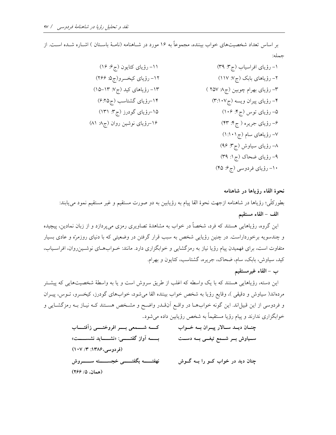بر اساس تعداد شخصیتهای خواب بیننده، مجموعاً به ۱۶ مورد در شــاهنامه (نامــهٔ باسـتان ) اشــاره شــده اســت. از حمله:

| ١١- رؤياي كتايون (ج؟: ١۶)   | ۱– رؤیای افراسیاب (ج۳: ۳۹)     |
|-----------------------------|--------------------------------|
| ١٢- رؤياي كيخسرو(ج2: ٢۶۶)   | ۲– رؤیاهای بابک (ج۷: ۱۱۷)      |
| ۱۳– رؤیاهای کید (ج۷: ۱۳–۱۵) | ۳- رؤیای بهرام چوبین (ج۸ ۲۵۷ ) |
| ۱۴–رؤیای گشتاسب (ج۲۵:۶)     | ۴– رؤیای پیران ویسه (ج۰۱۰۷)    |
| ۱۵–رؤیای گودرز (ج۳: ۱۳۱)    | ۵– رؤیای توس (ج۴: ۱۰۶)         |
| ۱۶–رؤیای نوشین روان (ج۸ ۸۱) | ۶- رؤیای جریره ( ج۴: ۴۳)       |
|                             | ۷– رؤیاهای سام (ج ۱۰۱:۱)       |
|                             | ۸– رؤیای سیاوش (ج۳: ۹۶)        |
|                             | ۹– رؤیای ضحاک (ج۱: ۳۹)         |
|                             | ۱۰– رؤیای فردوسی (ج۶: ۴۵)      |

نحوة القاء رؤياها در شاهنامه

بطورکلَّمي؛ رؤياها در شاهنامه ازجهت نحوهٔ القا پيام به رؤيابين به دو صورت مستقيم و غير مستقيم نمود ميLيابند: الف – القاء مستقيم

این گروه، رؤیاهایی هستند که فرد، شخصاً در خواب به مشاهدهٔ تصاویری رمزی میپردازد و از زبان نمادین، پیچیده و چندسویه برخورداراست. در چنین رؤیایی شخص به سبب قرار گرفتن در وضعیتی که با دنیای روزمرّه و عادی بسیار متفاوت است، برای فهمیدن پیام رؤیا نیاز به رمزگشایی و خوابگزاری دارد. مانند: خـوابهـای نوشـینرروان، افراسـیاب، کید، سیاوش، بابک، سام، ضحاک، جریره، گشتاسب، کتایون و بهرام.

ب – القاء غيرمستقيم

این دسته، رؤیاهایی هستند که با یک واسطه که اغلب از طریق سروش است و یا به واسطهٔ شخصیتهایی که پیشـتر مردهاند( سیاوش و دقیقی )، وقایع رؤیا به شخص خواب بیننده القا میشود، خوابهای گودرز، کیخسرو، تـوس، پیـران و فردوسی از این قبیل اند. این گونه خوابهـا در واقـع آنقـدر واضـح و مشـخص هسـتند کـه نیـاز بـه رمزگشـایی و خوابگزاری ندارند و پیام رؤیا مستقیماً به شخص رؤیابین داده می شود.

> كــــه شـــــمعى بـــــر افروختـــــى زأفتـــــاب چنــان ديــد ســـالار پيــران بــه خــواب سـياوش بــر شـــمع تيغـــي بـــه دســت بـــــــه آواز گفتــــــي: «نشـــــــايد نشســـــت» (فردوسی،۱۳۸۶: ۱۰۷/ ۱۰۷) نهفتــــــه بگفتـــــــى خجســـــــته ســـــــروش چنان دید در خواب کــو را بــه گــوش (همان، ۵/ ۲۶۶)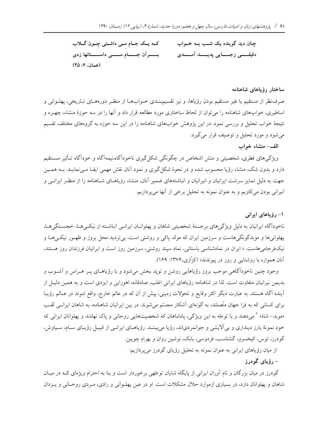که یک جام می داشتی چون گلاب چنان دید گوینده یک شــب بــه خــواب بسسرآن جسسام مسسى داسسستانها زدى دقیقسمی زجستایی پدیسند آمسندی (همان، ۴۵/۶)

#### ساختار رؤياهاي شاهنامه

صرفنظر از مستقیم یا غیر مستقیم بودن رؤیاها، و نیز تقسیم٬بنـدی خــوابهــا از منظــر دورههــای تــاریخی، پهلــوانی و اساطیری، خوابهای شاهنامه را می توان از لحاظ ساختاری مورد مطالعه قرار داد و آنها را در سه حوزهٔ منشاء، چهـره و نتیجهٔ خواب تحلیل و بررسی نمود. در این پژوهش خوابهای شاهنامه را در این سه حوزه به گروههای مختلف تقسیم می شود و مورد تحلیل و توصیف قرار می گیرد.

# الف-منشاء خواب

ویژگیهای فطری، شخصیتی و منش اشخاص در چگونگی شکل گیری ناخودآگاه،نیمهآگاه و خودآگاه تـأثیر مسـتقیم دارد و بدون شک، منشاء رؤیا محسوب شده و در نحوهٔ شکل گیری و نمود آنان نقش مهمی ایف معی نمایـد. بــه همـین جهت به دلیل تمایز سرشت ایرانیان و انیرانیان و انباشتههای ضمیر آنان، منشاء رؤیاهـای شـاهنامه را از منظـر ایرانـی و انیرانی بودن میکاویم و به عنوان نمونه به تحلیل برخی از آنها می پردازیم.

# ۱- رؤیاهای ایرانی

ناخوداًگاه ایرانیان به دلیل ویژگیهای برجستهٔ شخصیتی شاهان و پهلوانـان ایرانـی انباشـته از نیکـیهـا، خجسـتگیهـا، پهلوانی ها و موبدگونگی،هاست و سرزمین ایران که مولد پاکی و روشنی است، بی تردید محل بروز و ظهـور نیکـی۱مـا و نیک فرجامی هاست. « ایران در نمادشناسی باستانی، نماد سپند روشنی، سرزمین روز است و ایرانیان فرزندان روز هستند، آنان همواره با روشنایی و روز در پیوندند» (کزّازی،۱۳۷۶: ۱۶۹).

وجود چنین ناخودآگاهی موجب بروز رؤیاهایی روشن و نوید بخش میشود و با رؤیاهـای پـر هـراس و آشــوب و بدیمن نیرانیان متفاوت است. لذا در شاهنامه رؤیاهای ایرانی اغلب، صادقانه، اهورایی و ایزدی است و به همین دلیـل از آینده آگاه هستند. به عبارت دیگر اکثر وقایع و تحولات زمینی، پیش از آن که در عالم خارج، واقع شوند در عـالم رؤیـا برای کسانی که به فرا جهان متّصلند، به گونهای آشکار مجسّم میشوند. در بین ایرانیان شاهنامه، به شاهان ایرانـی لقـب «موبد– شاه» ^ میدهند و با توجّه به این ویژگی، پادشاهان که شخصیتهایی روحانی و پاک نهادند و پهلوانان ایرانی که خود نمونهٔ بارز دینداری و بی الایشی و جوانمردیاند، رؤیا می بیننـد. رؤیاهـای ایرانـی از قبیـل رؤیـای سـام، سـیاوش، گودرز، توس، کیخسرو، گشتاسب، فردوسی، بابک، نوشین روان و بهرام چوبین.

از میان رؤیاهای ایرانی به عنوان نمونه به تحلیل رؤیای گودرز میپردازیم:

- رؤياي گودرز

گودرز در میان بزرگان و نام آوران ایرانی از پایگاه شایان توجّهی برخوردار است و بنا به احترام ویژهای کـه در میـان شاهان و پهلوانان دارد، در بسیاری ازموارد حلال مشکلات است. او در عین پهلـوانی و رادی، مـردی روحـانی و پـزدان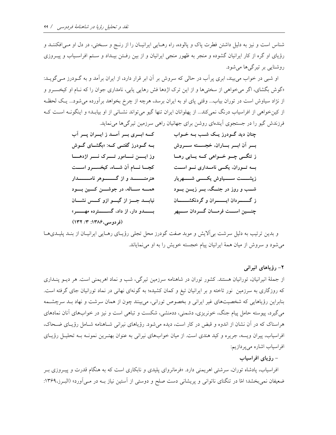شناس است و نیز به دلیل داشتن فطرت پاک و پالوده، راه رهـایی ایرانیــان را از رنــج و سـختی، در دل او مــی|فکننــد و رؤیای او گره از کار ایرانیان گشوده و منجر به ظهور منجی ایرانیان و از بین رفـتن بیـداد و سـتم افراسـیاب و پیـروزی روشنایی بر تیرگیها می شود.

او شبی در خواب می بیند، ابری پرأب در حالی که سروش بر أن ابر قرار دارد، از ایران برأمد و به گــودرز مــیگویــد: «گوش بگشای، اگر می خواهی از سختیها و از این ترک اژدها فش رهایی پابی، نامداری جوان را که نـام او کیخسـرو و از نژاد سیاوش است در توران بیاب... وقتی پای او به ایران برسد، هرچه از چرخ بخواهد برآورده میشود... یک لحظه از کین خواهی از افراسیاب درنگ نمی کند... از پهلوانان ایران تنها گیو می تواند نشـانی از او بیابـد» و اینگونــه اسـت کــه فرزندش گیو را در جستجوی آیندهای روشن برای جهانیان راهی سرزمین تیرگیها می نماید.

| کسه ابسری بسر اَمسد ز ایسران پسر اَب                 | چنان دید گــودرز یــک شــب بــه خــواب              |
|------------------------------------------------------|-----------------------------------------------------|
| بــه گـــودرز گفتـــی کـــه: «بگشـــای گـــوش        | بسر آن ابسر بساران، خجسسته سسروش                    |
| وز ایسن نسامور تسرک نسر اژدهسا                       | ز تنگــی چــو خــواهی کــه يــابی رهــا             |
| كجسا نسام آن شساه، كيخسسرو اسست                      | بسه تسوران، یکسی نامسداری نسو اسست                  |
| هنرمنــــــــــد و از گــــــــــوهر نامـــــــــدار | زپشـــــت ســـــیاوش یکــــــی شــــــهریار         |
| همـــه ســاله، در جوشـــن كـــين بــود               | شـــب و روز در جنــگ، بـــر زيـــن بـــود           |
| نیابسد جسز از گیسو ازو کسس نشسان                     | ز گـــــــــردان ايـــــــــران و گردنكشـــــــــان |
| بــــدو دار، از داد، گســـــترده مهـــــر»           | چنسین اسست فرمسان گسردان سسپهر                      |
| (YY   Y'   Y)                                        |                                                     |

و بدین ترتیب به دلیل سرشت بی[لایش و موبد صفت گودرز محل تجلی رؤیـای رهـایی ایرانیـان از بنـد پلیـدیهـا می شود و سروش از میان همهٔ ایرانیان پیام خجسته خویش را به او می نمایاند.

۲– رؤیاهای انیران<sub>ی</sub>

از جملهٔ انیرانیان، تورانیان هستند. کشور توران در شاهنامه سرزمین تیرگی، شب و نماد اهریمنی است. هر دیــو پنــداری که روزگاری به سرزمین نور تاخته و بر ایرانیان تیغ و کمان کشیده؛ به گونهای نهانی در نماد تورانیان جای گرفته است. بنابراین رؤیاهایی که شخصیتهای غیر ایرانی و بخصوص تورانی، میبینند چون از همان سرشت و نهاد بـد سرچشـمه میگیرد، پیوسته حامل پیام جنگ، خونریزی، دشمنی، ددمنشی، شکست و تباهی است و نیز در خوابهای آنان نمادهای هراسناک که در آن نشان از اندوه و قبض در کار است، دیده می شود. رؤیاهای نیرانی شـاهنامه شـامل رؤیـای ضـحاک، افراسیاب، پیران ویسه، جریره و کید هندی است. از میان خوابهای نیرانی به عنوان بهتـرین نمونـه بــه تحلیـل رؤیــای افراسیاب اشاره میپردازیم:

– رؤیای افراسیاب

افراسیاب، پادشاه توران، سرشتی اهریمنی دارد. «فرمانروای پلیدی و نابکاری است که به هنگام قدرت و پیـروزی بـر ضعیفان نمیبخشد؛ امّا در تنگنای ناتوانی و پریشانی دست صلح و دوستی از آستین نیاز بــه در مــیآورد» (البــرز،۱۳۶۹: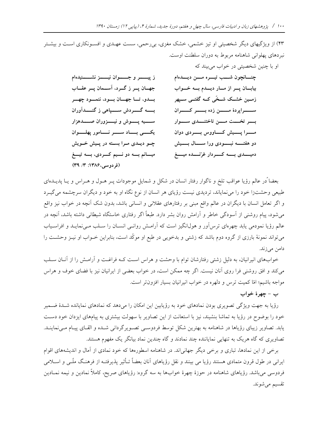او با چنین شخصیتی در خواب می بیند که

۴۳) از ویژگیهای دیگر شخصیتی او تیز خشمی، خشک مغزی، بیررحمی، سست عهـدی و افسـونکاری اسـت و بیشـتر نبردهای پهلوانی شاهنامه مربوط به دوران سلطنت اوست.

> ز پیسسر و جسسوان نیسسز نشسسنیدهام چنسانچون شسب تيسره مسن ديسدهام جهـان پـر ز گـرد، آســمان پـر عقـاب بیابان پار از مار دیلهم به خواب بسدو، تساجهسان بسود، ننمسود چهسر زمــین خشــک شــخّی کــه گفتــی ســپهر بســه گــــــردش ســــــياهي ز گنــــــدآوران ســـــراپردهٔ مــــــن زده بـــــر کـــــران بسو تخست مسن تاختنسدی سسوار ســـيه يـــوش و نيـــزوران صــــدهزار يكسى بساد سسر نسامور پهلسوان مـــــــــرا پــــــــيش كـــــــاووس بــــــــــردى دوان دو هفتــــــه نبــــــودي ورا ســـــال بـــــيش چو دیلدی مرا بسته در پیش خویش میسانم بسه دو نسیم کسردی، بسه تیسغ دمیــــدی بــــه کــــردار غرّنــــده میــــغ (فردوسی،۱۳۸۶: ۳) ۳۹)

بعضا ًدر عالم رؤيا عواقب تلخ و ناگوار رفتار انسان در شكل و شمايل موجودات پــر هــول و هــراس و يــا پديــدهاى طبیعی وحشتزا خود را می نمایاند، تردیدی نیست رؤیای هر انسان از نوع نگاه او به خود و دیگران سرچشمه می گیـرد و اگر تعامل انسان با دیگران در عالم واقع مبنی بر رفتارهای عقلانی و انسانی باشد، بدون شک آنچه در خواب نیز واقع می شود، پیام روشنی از آسودگی خاطر و آرامش روان بشر دارد. طبعاً اگر رفتاری خاستگاه شیطانی داشته باشد، آنچه در عالم رؤیا نمودمی یابد چهرهای ترس آور و هول\نگیز است که آرامـش روانـبی انسـان را سـلب مـی،نمایـد و افراسـیاب میتواند نمونهٔ بارزی از گروه دوم باشد که زشتی و بدخویی در طبع او موکّد است، بنابراین خـواب او نیــز وحشــت را دامن می;زند.

خوابهای انیرانیان، به دلیل زشتی رفتارشان توام با وحشت و هراس است کـه فراغـت و آرامـش را از آنــان ســلب می کند و افق روشنی فرا روی آنان نیست. اگر چه ممکن است، در خواب بعضی از ایرانیان نیز با فضای خوف و هراس مواجه باشیم؛ امّا کمیت ترس و دلهره در خواب انیرانیان بسیار افزون تر است.

ب - چهرهٔ خواب

رؤیا به جهت ویژگی تصویری بودن نمادهای خود به رؤیابین این امکان را میدهد که نمادهای نمایانده شـدهٔ ضـمیر خود را بوضوح در رؤيا به تماشا بنشيند، نيز با استعانت از اين تصاوير با سهولت بيشترى به پيامهاى ايزدان خود دست یابد. تصاویر زیبای رؤیاها در شاهنامه به بهترین شکل توسط فردوسـی تصـویرگردانی شـده و القـای پیـام مـینماینـد. تصاویری که گاه هریک به تنهایی نمایاننده چند نمادند و گاه چندین نماد بیانگر یک مفهوم هستند.

برخی از این نمادها، تباری و برخی دیگر جهانیاند. در شاهنامه اسطورهها که خود نمادی از آمال و اندیشههای اقوام ایرانی در طول قرون متمادی هستند رؤیا می بینند و نقل رؤیاهای آنان بعضاً تـأثیر پذیرفتـه از فرهنـگ ملّـی و اســلامی فردوسی می باشد. رؤیاهای شاهنامه در حوزهٔ چهرهٔ خوابها به سه گروه: رؤیاهای صریح، کاملاً نمادین و نیمه نمــادین تقسیم میشوند.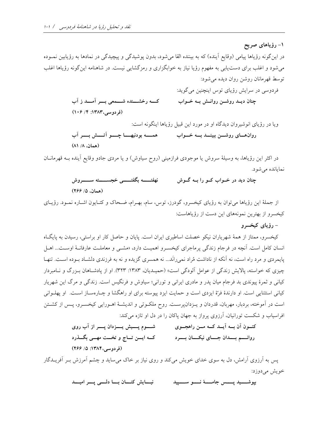۱– رؤیاهای صریح در این گونه رؤیاها پیامی (وقایع اَینده) که به بیننده القا میشود، بدون پوشیدگی و پیچیدگی در نمادها به رؤیابین نمــوده می شود و اغلب برای دست یابی به مفهوم رؤیا نیاز به خوابگزاری و رمزگشایی نیست. در شاهنامه این گونه رؤیاها اغلب توسط قهرمانان روشن روان ديده مي شود: فردوسی در سرایش رؤیای توس اینچنین میگوید: كـــه رخشـــنده شـــمعى بـــر آمـــد ز آب چنان دیــد روشــن روانــش بــه خــواب (فردوسی،١٣٨٣: ١٠۶) (١٠٤)

> ويا در رؤياي انوشيروان ديدگاه او در مورد اين قبيل رؤياها اينگونه است: (همان، ۸/ ۸۱)

در اکثر این رؤیاها، به وسیلهٔ سروش یا موجودی فرازمینی (روح سیاوش) و یا مردی جادو وقایع آینده بـه قهرمانــان نمايانده مي شود.

> نهفتـــــه بگفتــــــى خجســــــته ســــــروش چنان دید در خــواب کــو را بــه گــوش (همان، ۵/ ۲۶۶)

از جملهٔ این رؤیاها می توان به رؤیای کیخسرو، گودرز، توس، سام، بهـرام، ضـحاک و کتـایون اشـاره نمـود. رؤیــای کیخسرو از بهترین نمونههای این دست از رؤیاهاست:

– رؤیای کیخسرو

کیخسرو، ممتاز از همهٔ شهریاران نیکو خصلت اساطیری ایران است. پایان و حاصل کار او براستی، رسیدن به پایگIه انسان کامل است. آنچه در فرجام زندگی پرماجرای کیخسـرو اهمیـت دارد، «مشـی و معاملـت عارفانــهٔ اوســت... اهــل پایمردی و مرد راه است، نه آنکه از ناداشت مُراد نمی رانَد... نه همسری گزیده و نه به فرزندی دلشـاد بـوده اسـت. تنهـا چیزی که خواسته، پالایش زندگی از عوامل آلودگی است» (حمیـدیان، ۱۳۸۳: ۳۲۳). او از پادشـاهان بـزرگ و نــامبردار کیانی و ثمرهٔ پیوندی بد فرجام میان پدر و مادری ایرانی و تورانی؛ سیاوش و فرنگیس است. زندگی و مرگ این شهریار کیانی استثنایی است. او دارندهٔ فرّهٔ ایزدی است و حمایت ایزد پیوسته برای او راهگشا و چـارهسـاز اسـت. او پهلــوانی است در آموخته، بردبار، مهربان، قدردان و یـزدانپرسـت. روح ملکـوتی و اندیشـهٔ اهـورایی کیخسـرو، پـس از کشـتن افراسیاب و شکست تورانیان، آرزوی پرواز به جهان پاکان را در دل او تازه می کند:

> شــــوم پــــیش پــــزدان پــــر از آب روی کنــون اَن بـــه اَیـــد کـــه مـــن راهجـــوی روانسم بسدان جسای نیکسان بسرد مسلم کسه ایسن تساج و تخست مهسی بگسذرد (فردوسی،١٣٨۴: ۵/ ٢۶۶)

پس به آرزوی آرامش، دل به سوی خدای خویش میکند و روی نیاز بر خاک می ساید و چشم آمرزش بـر آفریــدگار خويش مي دوزد:

> نیسایش کنسان بسا دلسی پسر امیسد بيوشـــــيد پـــــس جامــــــهٔ نــــــو ســــــپيد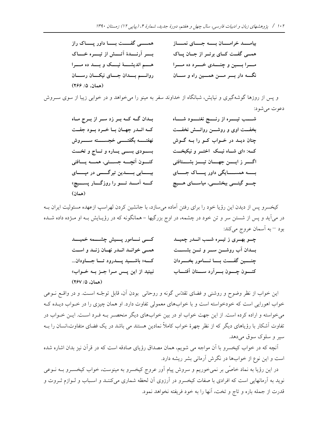| همـــــــــی گفـــــــت بــــــــا داور پــــــاک راز | بيامــد خرامــان بــه جــاى نمــاز |
|-------------------------------------------------------|------------------------------------|
| بسر آرنسدهٔ آتسش از تیسره خساک                        | همے گفت کای برتر از جان پاک        |
| هـــم انديشــــهٔ نيـــک و بـــد ده مـــرا            | مسرا بسین و چنسدی خسرد ده مسرا     |
| روانــــم بــــدان جــــاى نيكــــان رســــان         | نگه دار بسر مسن همسین راه و سسان   |
| (همان، ۵/ ۲۶۶)                                        |                                    |

و پس از روزها گوشهگیری و نیایش، شبانگاه از خداوند سفر به مینو را میخواهد و در خوابی زیبا از سوی سـروش دعوت مي شود:

| بـدان گــه کــه بــر زد ســر از بــرج مــاه         | شـــــب تيــــــره از رنــــــج نغنــــــود شـــــاه |
|-----------------------------------------------------|------------------------------------------------------|
| کـه انـدر جهـان بـا خـرد بـود جفـت                  | بخفــت اوى و روشـــن روانـــش نخفــت                 |
| نهفتـــــه بگفتـــــــى خجســــــته ســـــــروش     | چنان دیـد در خــواب کــو را بــه گــوش               |
| بسودی بسمی یساره و تساج و تخست                      | کــه: «ای شــاه نیــک اختــر و نیکبخــت              |
| كنــــون النچـــــه جســـــتى، همـــــه يــــافتى   | اگسر زایسن جهسان تیسز بشستافتی                       |
| بیـــابی بـــدین تیرگــــی در مپـــای               | بسمه همســایگی داور پــاک جــای                      |
| کــــه اَمـــــد تــــــو را روزگـــــار پســـــيچ» | چــــو گیتـــــی ببخشـــــی، میاســــای هــــیچ      |
| (همان)                                              |                                                      |

کیخسرو پس از دیدن این رؤیا خود را برای رفتن آماده میسازد، با جانشین کردن لهراسب ازعهده مسئولیت ایران بـه در میآید و پس از شستن سر و تن خود در چشمه، در اوج بزرگیها – همانگونه که در رؤیـایش بـه او مــژده داده شــده بود – به أسمان عروج مي كند:

| كسى نسامور پسيش چشسمه خميسد                   | چــو بهــری ز تیــره شــب انــدر چمیــد |
|-----------------------------------------------|-----------------------------------------|
| همي خوانيد انيدر نهيان زنيد و است             | بسدان آب روشسن سسر و تسن بشسست          |
| كـــه« باشــــيد پــــدرود تــــا جـــــاودان | چنسمین گفست بسا نسامور بخسودان          |
| نبینید از این پــس مـرا جـز بـه خـواب»        | كنسون چسون بسرارد سسنان آفتساب          |
| (همان ۱۵/ ۲۶۷)                                |                                         |

این خواب از نظر وضوح و روشنی و فضای تقدّس گونه و روحانی بودن آن، قابل توجّـه اسـت. و در واقــع نــوعی خواب اهورایی است که خودخواسته است و با خوابهای معمولی تفاوت دارد. او همان چیزی را در خـواب دیــده کــه میخواسته و اراده کرده است. از این جهت خواب او در بین خوابهای دیگر منحصـر بـه فـرد اسـت. ایــن خــواب در تفاوت آشکار با رؤیاهای دیگر که از نظر چهرهٔ خواب کاملاً نمادین هستند می باشد در یک فضای متفاوت،انسان را بــه سير و سلوک سوق مي دهد.

آنچه که در خواب کیخسرو با آن مواجه می شویم، همان مصداق رؤیای صادقه است که در قرآن نیز بدان اشاره شده است و این نوع از خوابها در نگرش آرمانی بشر ریشه دارد.

در این رؤیا به نماد خاصّی بر نمیخوریم و سروش پیام آور عروج کیخسرو به مینوست، خواب کیخسـرو بــه نــوعی نوید به آرمانهایی است که افرادی با صفات کیخسرو در آرزوی آن لحظه شماری میکننـد و اسـباب و لـوازم ثـروت و قدرت از جمله باره و تاج و تخت، آنها را به خود فريفته نخواهد نمود.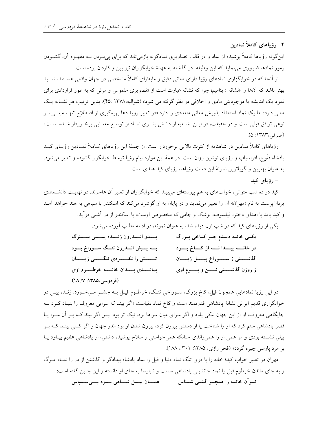۲- رؤیاهای کاملاً نمادین

این گونه رؤیاها کاملاً پوشیده از نماد و در قالب تصاویری نمادگونه بازمیتابد که برای پی بردن بـه مفهـوم آن، گشـودن رموز نمادها ضروری می نماید که این وظیفه ً در گذشته به عهدهٔ خوابگزاران تیز بین و کاردان بوده است.

از اّنجا که در خوابگزاری نمادهای رؤیا دارای معانی دقیق و مابهازای کاملاً مشخصی در جهان واقعی هسـتند، شــاید بهتر باشد که آنها را «نشانه » بنامیم؛ چرا که نشانه عبارت است از «تصویری ملموس و مرئی که به طور قراردادی برای نمود یک اندیشه یا موجودیتی مادی و اخلاقی در نظر گرفته می شود» (شوالیه،۱۳۷۸ :۴۵). بدین ترتیب هر نشـانه یـک معنی دارد؛ اما یک نماد استعداد پذیرش معانی متعددی را دارد «در تعبیر رویدادها بهرهگیری از اصطلاح تنهـا مبتنــی بــر نوعی توافق قبلی است و در حقیقت، در ایـن شـعبه از دانـش بشـری نمـاد از توسـع معنـایی برخـوردار شـده اسـت» (صرفي، ١٣٨٣: ۵).

رؤیاهای کاملاً نمادین در شاهنامه از کثرت بالایی برخوردار است. از جملهٔ این رؤیاهای کـاملاً نمـادین رؤیــای کیـد پادشاه قنّوج، افراسیاب و رؤیای نوشین روان است. در همهٔ این موارد پیام رؤیا توسط خوابگزار گشوده و تعبیر میشود. به عنوان بهترین و گویاترین نمونهٔ این دست رؤیاها، رؤیای کید هندی است.

– رؤیای کید

کید در ده شب متوالی، خوابهای به هم پیوستهای می بیند که خوابگزاران از تعبیر آن عاجزند. در نهایـت دانشـمندی یزدانپرست به نام «مهران» آن را تعبیر می نماید و در پایان به او گوشزد می کند که اسکندر با سیاهی به هند خواهد آمـد و کید باید با اهدای دختر، فیلسوف، یزشک و جامی که مخصوص اوست، با اسکندر از در آشتی درآید.

یکی از رؤیاهای کید که در شب اول دیده شد، به عنوان نمونه، در ادامه مطلب آورده می شود.

| بسدو انسدرون ژنسده پیلسی سسترگ                    | یکے خانــه دیــدم چــو کــاخی بــزرگ       |
|---------------------------------------------------|--------------------------------------------|
| بــه پــیش انــدرون تنــگ ســوراخ بــود           | در خانسه پیسدا نسه از کساخ بسود            |
| تــــــنش را نكـــــــردى تنگـــــــى زيـــــــان | گذشـــــتى ز ســـــوراخ پيـــــل ژيـــــان |
| بمانسدی بسدان خانسه خرطسوم اوی                    | ز روزن گذشــــتى تــــن و بــــوم اوى      |
| (فردوسی،١٣٨٥: ١٨ /١٨)                             |                                            |

در این رؤیا نمادهایی همچون فیل، کاخ بزرگ، سـوراخی تنگ، خرطـوم فیـل بـه چشـم مـیخـورد. ژنـده پیـل در خوابگزاری قدیم ایرانی نشانهٔ پادشاهی قدرتمند است و کاخ نماد دنیاست «اگر بیند که سرایی معروف را بنیـاد کـرد بـه جایگاهی معروف، او از این جهان نیکی یاود و اگر سرای میان سراها بود، نیک تر بود...پس اگر بیند کـه بـر آن سـرا یـا قصر پادشاهی ستم کرد که او را شناخت یا از دستش بیرون کرد، بیرون شدن او بود اندر جهان و اگر کسی بینـد کـه بـر پیلی نشسته بودی و مر همی او را همیراندی چنانکه همیخواستی و سلاح پوشیده داشتی، او پادشاهی عظیم بیـاود یـا بر مرد پارسی چیره گردد» (فخر رازی، ۱۳۸۵: ۲۰۱ ، ۱۸۸).

مهران در تعبیر خواب کید؛ خانه را با دری تنگ نماد دنیا و فیل را نماد یادشاه بیدادگر و گذشتن از در را نمـاد مـرگ و به جای ماندن خرطوم فیل را نماد جانشینی پادشاهی سست و ناپارسا به جای او دانسته و این چنین گفته است: تــواّن خانــه را همچـــو گیتــی شـــناس همــــان پیـــل شــــاهی بـــود بـــیســــپاس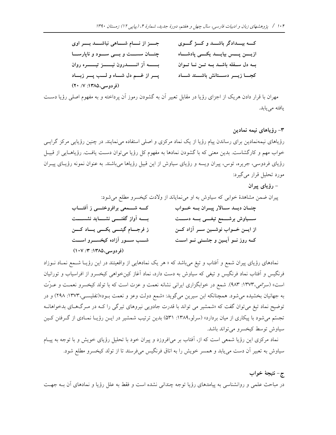| جسز از نسام شساهی نباشسد بسر اوی   | کـــه بیـــدادگر باشـــد و کــــژ گــــوی   |
|------------------------------------|---------------------------------------------|
| چنان سست و بسی سود و ناپارسا       | زيــــن پــــس بيايــــد يكــــى پادشــــاه |
| بسسه آز انسسدرون نيسسز تيسسره روان | ے دل سفله باشد به تـن نـا تـوان             |
| پسر از غسم دل شساه و لسب پسر زبساد | كجسا زيسر دسستانش باشسند شساد               |
| (فردوسی،۱۳۸۵: ۲۰/ ۲۰)              |                                             |

مهران با قرار دادن هریک از اجزای رؤیا در مقابل تعبیر آن به گشودن رموز آن پرداخته و به مفهوم اصلی رؤیا دست يافته مى يابد.

۳– رؤیاهای نیمه نمادین

رؤیاهای نیمهنمادین برای رساندن پیام رؤیا از یک نماد مرکزی و اصلی استفاده می نمایند. در چنین رؤیایی مرکز گرایسی خواب مهم و کارگشاست. بدین معنی که با گشودن نمادها به مفهوم کل رؤیا میتوان دست یافت. رؤیاهـایی از قبیـل رؤیای فردوسی، جریره، توس، پیران ویسه و رؤیای سیاوش از این قبیل رؤیاها میباشند. به عنوان نمونه رؤیـای پیــران مورد تحلیل قرار میگیرد:

> – رؤیای پیران پیران ضمن مشاهدهٔ خوابی که سیاوش به او می نمایاند از ولادت کیخسرو مطلع می شود: کـــه شــــمعى برافروختــــى ز اَفتــــاب چنان دیلد سالار پیران به خواب بســه آواز گفتــــي نشـــــايد نشســـــت ســـیاوش برشـــمع تیغـــی بـــه دســـت ز فرجـــام گیتـــی یکـــی یـــاد کــــن از ایسن خسواب نوشسین سسر آزاد کسن شـــب ســـور اَزاده کیخســـرو اســـت کــه روز نــو اَیــین و جشــنی نــو اســت (فردوسی،۱۳۸۵: ۰۷/ ۱۰۷)

نمادهای رؤیای پیران شمع و آفتاب و تیغ میباشد که « هر یک نمادهایی از واقعیتند در این رؤیـا شــمع نمــاد نــوزاد فرنگیس و آفتاب نماد فرنگیس و تیغی که سیاوش به دست دارد، نماد آغاز کینخواهی کیخسرو از افراسیاب و تورانیان است» (سرّامی،١٣٧٣: ٩٨٣). شمع در خوابگزاري ايراني نشانه نعمت و عزت است كه با تولد كيخسرو نعمت و عـزّت به جهانیان بخشیده میشود. همچنانکه ابن سیرین میگوید: «شمع دولت وعز و نعمت بـود»(تفلیسـی،۱۳۷۳: ۲۹۸) و در توضیح نماد تیغ می توان گفت که «شمشیر می تواند با قدرت جادویی نیروهای تیرگی را کـه در مـرگ&ـای بدخواهانـه تجسّم میشود با پیکاری از میان بردارد» (سرلو،۱۳۸۹: ۵۳۱) بدین ترتیب شمشیر در ایـن رؤیـا نمـادی از گـرفتن کـین سیاوش توسط کیخسرو می تواند باشد.

نماد مرکزی این رؤیا شمعی است که از، آفتاب بر می|فروزد و پیران خود با تحلیل رؤیای خویش و با توجه به پیـام سیاوش به تعبیر آن دست می یابد و همسر خویش را به اتاق فرنگیس میفرستد تا از تولد کیخسرو مطلع شود.

ج- نتيجهٔ خواب

در مباحث علمی و روانشناسی به پیامدهای رؤیا توجه چندانی نشده است و فقط به علل رؤیا و نمادهای أن بــه جهــت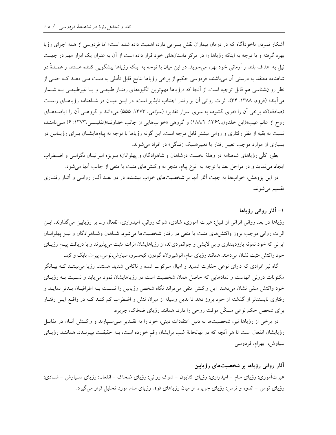أشکار نمودن ناخوداًگاه که در درمان بیماران نقش بسزایی دارد، اهمیت داده شده است؛ اما فردوسی از همه اجزای رؤیا بهره گرفته و با توجه به اینکه رؤیاها را در مرکز داستانهای خود قرار داده است از آن به عنوان یک ابزار مهم در جهت نیل به اهداف بلند و آرمانی خود بهره میجوید. در این میان با توجه به اینکه رؤیاها پیشگویی کننده هستند و عمــدةً در شاهنامه معتقد به درستی آن می باشند، فردوسی حکیم از برخی رؤیاها نتایج قابل تأملی به دست مـی دهــد کــه حتـی از نظر روان شناسی هم قابل توجیه است. از آنجا که «رؤیاها مهمترین انگیزههای رفتـار طبیعـی و یـا غیرطبیعـی بــه شــمار میآیند» (فروم، ۱۳۸۸: ۳۴)، اثرات روانی آن بر رفتار اجتناب ناپذیر است، در ایـن میـان در شـاهنامه رؤیاهـای راسـت (صادقه)که برخی آن را «دری گشوده به سوی اسرار تقدیر» (سرامی، ۱۳۷۳: ۵۵۵) میدانند و گروهـی آن را «یافتـههـای روح از عالم غیب»(ابن خلدون،۱۳۶۹: ۱۸۸/۲) و گروهی «خوابهایی از جانب خداوند»(تفلیسـی،۱۳۷۳: ۶) مـیiامنـد، نسبت به بقیه از نظر رفتاری و روانی بیشتر قابل توجه است. این گونه رؤیاها با توجه به پیامهایشـان بـرای رؤیـابین در بسیاری از موارد موجب تغییر رفتار یا تغییر«سبک زندگی» در افراد می شوند.

بطور كلّي رؤياهاي شاهنامه در وهلهٔ نخست درشاهان و شاهزادگان و پهلوانان؛ بـويژه انيرانيـان نگرانـي و اضـطراب ایجاد می نماید و در مراحل بعد با توجه به نوع پیام، منجر به واکنشهای مثبت یا منفی از جانب آنها می شود.

در این پژوهش، خوابها به جهت آثار آنها بر شخصیتهای خواب بیننـده، در دو بعـد آثـار روانـی و آثـار رفتـاری تقسیم میشوند.

۱– آثار روانی رؤیاها

رؤیاها در بعد روانی اثراتی از قبیل: عبرت آموزی، شادی، شوک روانی، امیدواری، انفعال و… بر رؤیابین می گذارند. ایس اثرات روانی موجب بروز واکنشهای مثبت یا منفی در رفتار شخصیتها می شود. شـاهان وشـاهزادگان و نیـز پهلوانــان ایرانی که خود نمونه بارزدینداری و بیآلایشی و جوانمردیاند، از رؤیاهایشان اثرات مثبت می پذیرند و با دریافت پیـام رؤیـای خود واکنش مثبت نشان میدهند. همانند رؤیای سام، انوشیروان، گودرز، کیخسرو، سیاوش،توس، پیران، بابک و کید.

گاه نیز افرادی که دارای نوعی حقارت شدید و امیال سرکوب شده و ناکامی شدید هستند، رؤیا می بیننـد کــه بیــانگر مکنونات درونی آنهاست و نمادهایی که حاصل همان شخصیت است در رؤیاهایشان نمود می یابد و نسـبت بـه رؤیــای خود واکنش منفی نشان میدهند. این واکنش منفی میتواند نگاه شخص رؤیابین را نسبت بـه اطرافیـان بـدتر نمایـد و رفتاری ناپسندتر از گذشته از خود بروز دهد تا بدین وسیله از میزان تنش و اضطراب کم کنـد کـه در واقـع ایـن رفتـار برای شخص حکم نوعی مسکّن موقت روحی را دارد. همانند رؤیای ضحّاک، جریره.

در برخی از رؤیاها نیز، شخصیتها به دلیل اعتقادات دینی، خود را به تقــدیر مــیسـپارند و واکـنش آنــان در مقابــل رؤیایشان انفعال است تا هر اّنچه که در نهانخانهٔ غیب برایشان رقم خورده است، بـه حقیقـت بییونــدد. هماننــد رؤیــای سياوش، بهرام، فردوسي.

آثار روانی رؤیاها بر شخصیتهای رؤیابین عبرتآموزی: رؤیای سام – امیدواری: رؤیای کتایون – شوک روانی: رؤیای ضحاک – انفعال: رؤیای سـیاوش – شـادی: رؤیای توس – اندوه و ترس: رؤیای جریره. از میان رؤیاهای فوق رؤیای سام مورد تحلیل قرار می گیرد.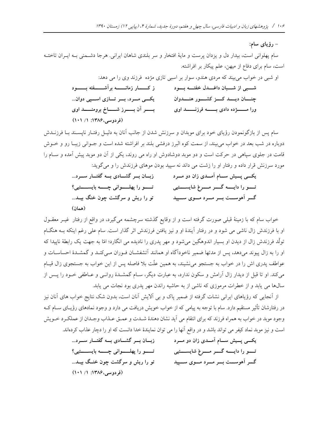## – رؤياي سام:

سام پهلوانی است، بیدار دل و یزدان پرست و مایهٔ افتخار و سر بلندی شاهان ایرانی. هرجا دشـمنی بـه ایـران تاختـه است، سام برای دفاع از میهن، علم پیکار بر افراشته.

|                                                        | او شبی در خواب میبیند که مردی هندو، سوار بر اسبی تازی مژده فرزند وی را می دهد: |
|--------------------------------------------------------|--------------------------------------------------------------------------------|
| ز کــــــار زمانـــــــــه برآشــــــــفته بــــــــود | شــــبى از شـــــبان داغـــــدل خفتـــــه بــــود                              |
| یکسی مسرد، بسر تسازی اسسپی دوان                        | چنسان ديسة كسز كشسور هنسةوان                                                   |
| بسو الن بسوز شسساخ برومنسمد اوى                        | ورا مستوده دادى بسته فرزنست اوى                                                |
| (فردوسی،۱۳۸۶: ۱/ ۱۰۱)                                  |                                                                                |

سام پس از بازگونمودن رؤیای خود برای موبدان و سرزنش شدن از جانب آنان به دلیـل رفتـار ناپسـند بـا فرزنــدش دوباره در شب بعد در خواب می بیند، از سمت کوه البرز درفشی بلند بر افراشته شده است و جــوانی زیبـا رو و خــوش قامت در جلوی سیاهی در حرکت است و دو موبد دوشادوش او راه می روند، یکی از آن دو موبد پیش آمده و سـام را مورد سرزنش قرار داده و رفتار او را زشت می داند نه سیید بودن موهای فرزندش را و می گوید:

| زبــان بــر گشــادی بــه گفتــار ســرد               | یکسی پسیش سسام آمسدی زان دو مسرد             |
|------------------------------------------------------|----------------------------------------------|
| تـــــــو را پهلـــــــواني چـــــــه بايســــــتيي؟ | تسو را دایسه گسر مسرغ شایسستیی               |
| تو را ریش و سرگشت چون خنگ بیــد                      | گـــر آهوســـت بـــر مـــرد مــــوى ســــپيد |
| (همان)                                               |                                              |

خواب سام که با زمینهٔ قبلی صورت گرفته است و از وقایع گذشته سرچشمه میگیرد، در واقع از رفتار غیـر معقــول او با فرزندش زال ناشی می شود و در رفتار آیندهٔ او و نیز یافتن فرزندش اثر گذار است. سام علی رغم اینکه بـه هنگــام تولُّد فرزندش زال از دیدن او بسیار اندوهگین میشود و مهر یدری را نادیده می انگارد؛ امّا به جهت یک رابطهٔ ناییدا که او را به زال پیوند میدهد، پس از مدتها ضمیر ناخودآگاه او همانند آتشفشـان فـوران مـیکنـد و گمشـدۀ احساسـات و عواطف پدری اش را در خواب به جستجو می نشیند، به همین علّت بلا فاصله پس از این خواب به جستجوی زال قیـام می کند. او تا قبل از دیدار زال آرامش و سکون ندارد، به عبارت دیگر، سـام گمشــدهٔ روانــی و عــاطفی خــود را پــس از سالها می پابد و از خطرات مرموزی که ناشی از به حاشیه راندن مهر پدری بود نجات می پابد.

از آنجایی که رؤیاهای ایرانی نشات گرفته از ضمیر پاک و بی آلایش آنان است، بدون شک نتایج خواب های آنان نیز در رفتارشان تأثیر مستقیم دارد. سام با توجه به پیامی که از خواب خویش دریافت می دارد و وجود نمادهای رؤیــای ســام کــه وجود موبد در خواب به همراه فرزند كه براي انتقام مي آيد نشان دهندۀ شــدت و عمــق عــذاب وجــدان از عملكــرد خــويش است و نیز موبد نماد کیفر می تواند باشد و در واقع آنها را می توان نمایندهٔ خدا دانست که او را دچار عذاب کردهاند.

| زبان بسر گشسادی بسه گفتسار سسرد        | یکسی پسیش سسام آمسدی زان دو مسرد |
|----------------------------------------|----------------------------------|
| تـــو را پهلـــواني چـــه بايســــتيي؟ | تسو را دایسه گسر مسرغ شایسستیی   |
| تو را ریش و سرگشت چون خنـگ بیــد       | گسر آهوسست بسر مسرد مسوی سسپید   |
| (فردوسی،۱۳۸۶: ۱/ ۱۰۱)                  |                                  |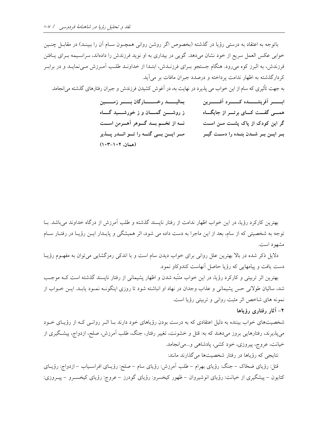باتوجه به اعتقاد به درستی رؤیا در گذشته (بخصوص اگر روشن روانی همچــون ســام أن را ببینــد) در مقابــل چنــین خوابی عکس العمل سریع از خود نشان میدهد. گویی در بیداری به او نوید فرزندش را دادهاند، سراسـیمه بـرای پـافتن فرزندش، به البرز کوه میرود. هنگام جستجو بـرای فرزنـدش، ابتـدا از خداونـد طلـب آمـرزش مـیiمایـد و در برابـر کردارگذشته به اظهار ندامت پرداخته و درصدد جبران مافات بر می آید. به جهت تأثیری که سام از این خواب می پذیرد در نهایت به، در اَغوش کشیدن فرزندش و جبران رفتارهای گذشته می|نجامد. بماليـــــــد رخســـــــارگان بـــــــر زمـــــــين ابسسر آفريننسسده كسسرد آفسسرين ز روشـــــن گمـــــان و ز خورشـــــيد گـــــاه همسی گفــت کـــای برتـــر از جایگـــاه نــه از تخــم بــد گــوهر آهــرمن اســت گر این کودک از پاک پشــت مــن اســت مسر ایسن بسی گنسه را تسو انسدر پسذیر بـر ايــن بـر شــدن بنــده را دســت گيــر (همان، ۱۰۲-۰۳)

بهترین کارکرد رؤیا، در این خواب اظهار ندامت از رفتار ناپسند گذشته و طلب آمرزش از درگاه خداوند میباشد. بـا توجه به شخصیتی که از سام، بعد از این ماجرا به دست داده می شود، اثر همیشگی و پایــدار ایــن رؤیــا در رفتــار ســام مشهود است.

دلایل ذکر شده در بالا بهترین علل روانی برای خواب دیدن سام است و با اندکی رمزگشایی می توان به مفهـوم رؤیـا دست یافت و پیامهایی که رؤیا حاصل آنهاست کندوکاو نمود.

بهترین اثر تربیتی و کارکرد رؤیا، در این خواب متنّبه شدن و اظهار پشیمانی از رفتار ناپسند گذشته است کــه موجــب شد، سالیان طولانی حس پشیمانی و عذاب وجدان در نهاد او انباشته شود تا روزی اینگونـه نمـود یابـد. ایــن خــواب از نمونه های شاخص اثر مثبت روانی و تربیتی رؤیا است.

## ۲– آثار رفتاری رؤیاها

شخصیتهای خواب بیننده به دلیل اعتقادی که به درست بودن رؤیاهای خود دارند بـا اثـر روانـی کـه از رؤیـای خــود میپذیرند، رفتارهایی بروز میدهند که به: قتل و خشونت، تغییر رفتار، جنگ، طلب آمرزش، صلح، ازدواج، پیشگیری از خیانت، عروج، پیروزی، خود کشی، پادشاهی و ...می انجامد.

نتایجی که رؤیاها در رفتار شخصیتها می گذارند مانند:

قتل: رؤیای ضحّاک – جنگ: رؤیای بهرام – طلب اَمرزش: رؤیای سام – صلح: رؤیـای افراسـیاب – ازدواج: رؤیــای کتایون – پیشگیری از خیانت: رؤیای انوشیروان – ظهور کیخسرو: رؤیای گودرز – عروج: رؤیای کیخسـرو – پیــروزی: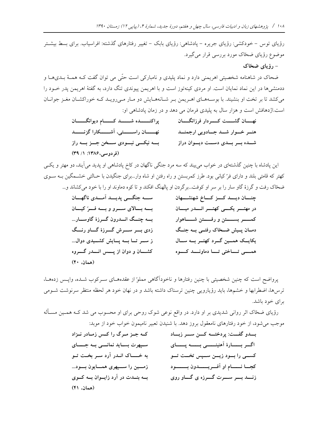رؤیای توس – خودکشی: رؤیای جریره – یادشاهی: رؤیای بابک – تغییر رفتارهای گذشته: افراسیاب. برای بسط بیشـتر موضوع رؤیای ضحّاک مورد بررسی قرار می گیرد.

## - رؤياي ضحّاك

ضحاک در شاهنامه شخصیتی اهریمنی دارد و نماد پلیدی و نامبارکی است حتّی می توان گفت کـه همـهٔ بــدیهــا و ددمنشیها در این نماد نمایان است. او مردی کینهتوز است و با اهریمن پیوندی تنگ دارد، به گفتهٔ اهریمن پدر خـود را می کشد تا بر تخت او بنشیند. با بوسـههـای اهـریمن بـر شـانههـایش دو مـار مـیرویـد کـه خوراکشـان مغـز جوانـان است.اژدهافش است و هزار سال به پلیدی فرمان می دهد و در زمان پادشاهی او:

|                                   | نهـــــان گشــــــت كــــــردار فرزانگــــــان |
|-----------------------------------|------------------------------------------------|
| نهسسان راسسستى، آشسسكارا گزنسسد   | هنــر خــوار شــد جــادويى ارجمنــد            |
| بسه نیکسی نبسودی سسخن جسز بسه راز | شــده بــر بــدى دســت ديــوان دراز            |
| (فردوسی،۱۳۸۶: ۱/ ۳۹)              |                                                |

این پادشاه با چنین گذشتهای در خواب می بیند که سه مرد جنگی ناگهان در کاخ پادشاهی او پدید می آیند، دو مهتر و یکسی کهتر که قامتی بلند و دارای فرّ کیانی بود. طرز کمربستن و راه رفتن او شاه وار...برای جنگیدن با حـالتی خشـمگین بـه سـوی ضحّاک رفت و گرزهٔ گاو سار را بر سر او کوفت...برگردن او پالهنگ افکند و تا کوه دماوند او را با خود میکشاند و...

پرواضح است که چنین شخصیتی با چنین رفتارها و ناخودآگاهی مملوً از عقدههـای سـرکوب شـده، واپـس زدههـا، ترس۵ا، اضطرابها و خشمها، باید رؤیارویی چنین ترسناک داشته باشد و در نهان خود هر لحظه منتظر سرنوشت شـومی برای خود باشد.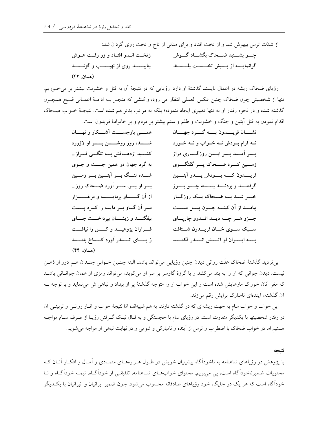رؤیای ضخاک ریشه در اعمال ناپسند گذشتهٔ او دارد. رؤیایی که در نتیجهٔ آن به قتل و خشونت بیشتر بر می خوریم. تنها از شخصیتی چون ضحّاک چنین عکس العملی انتظار می رود، واکنشی که منجـر بـه ادامـهٔ اعمـالی قبـیح همچـون گذشته شده و در نحوه رفتار او نه تنها تغییری ایجاد ننموده؛ بلکه به مراتب بدتر هم شده است. نتیجـهٔ خــواب ضـحاک اقدام نمودن به قتل اّبتین و جنگ و خشونت و ظلم و ستم بیشتر بر مردم و بر خانوادهٔ فریدون است.

| همســـی بازجســـــت اَشــــکار و نهـــــان         | نشسان فريسمدون بسمه گسرد جهسان                      |
|----------------------------------------------------|-----------------------------------------------------|
|                                                    | نـه آرام بـودش نـه خـواب و نـه خـورد                |
| کشــید اژدهـــافش بـــه تنگـــی فـــراز            | بسر اَمسد بسر ایسن روزگساری دراز                    |
| به گرد جهان در همین جست و جــوی                    | زمسین کسرد ضسحاک پسر گفتگسوی                        |
| شـــده تنـــگ بـــر اَبتـــين بـــر زمـــين        | فريسمدون كسمه بسودش پسمدر آبتسمين                   |
| بسر او بسر، سسر آورد ضـــحاک روز                   | گرفتنـــــد و بردنـــــد بســـــته چـــــو يـــــوز |
|                                                    | خبــر شــد بــه ضــحاک يــک روزگــار                |
| مر آن گاو بر مایه را کرد پست                       | بیامــد از آن کینـــه چـــون پیـــل مســـت          |
| بیفگنــــد و زیشــــان بپرداخــــت جــــای         | جــزو هــر چــه ديــد انــدرو چارپــای              |
| فسراوان پژوهیسد و کسس را نیافست                    | ســبک ســوی خــان فریــدون شــتافت                  |
| ز پــــــای انـــــــدر آورد کـــــــاخ بلنــــــد | بســه ايــــوان او اَتــــش انــــدر فكنــــد       |
| (همان، ۴۴)                                         |                                                     |

بی تردید گذشتهٔ ضحّاک علّت روانی دیدن چنین رؤیایی می تواند باشد. البته چنـین خــوابی چنــدان هــم دور از ذهــن نیست. دیدن جوانی که او را به بند میکشد و با گرزهٔ گاوسر بر سر او میکوبد، میتواند رمزی از همان جوانبانی باشید که مغز آنان خوراک مارهایش شده است و این خواب او را متوجه گذشتهٔ پر از بیداد و تباهی اش می نماید و با توجه بـه آن گذشته، آیندهای نامبارک برایش رقم میزند.

این خواب و خواب سام به جهت ریشهای که در گذشته دارند، به هم شبیهاند؛ امّا نتیجهٔ خواب و آثـار روانـبی و تربیتـبی آن در رفتار شخصیتها با یکدیگر متفاوت است. در رؤیای سام با خجستگی و به فـال نیـک گـرفتن رؤیـا از طـرف ســام مواجــه هستیم اما در خواب ضحّاک با اضطراب و ترس از آینده و نامبارکی و شومی و در نهایت تباهی او مواجه میشویم.

#### نتيجه

با پژوهش در رؤیاهای شاهنامه به ناخودآگاه پیشینیان خویش در طـول هـزارههـای متمـادی و آمـال و افکـار آنــان کــه محتویات ضمیرناخودآگاه است، پی می بریم. محتوای خواب های شـاهنامه، تلفیقـی از خودآگـاه، نیمـه خودآگـاه و نـا خودآگاه است که هر یک در جایگاه خود رؤیاهای صادقانه محسوب می شود. چون ضمیر ایرانیان و انیرانیان با یک دیگر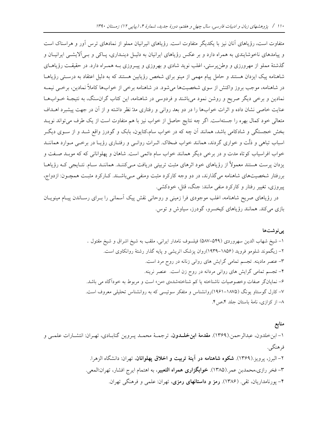متفاوت است، رؤیاهای آنان نیز با یکدیگر متفاوت است. رؤیاهای انیرانیان مملو از نمادهای ترس آور و هراسناک است و پیامدهای ناخوشایندی به همراه دارد و بر عکس رؤیاهای ایرانیان به دلیـل دینـداری، پــاکی و بــی|لایشــی ایرانیــان و گذشتهٔ مملو از مهرورزی و وطنپرستی، اغلب نوید شادی و بهروزی و پیـروزی بـه همـراه دارد. در حقیقـت رؤیاهـای شاهنامه پیک ایزدان هستند و حامل پیام مهمی از مینو برای شخص رؤیابین هستند که به دلیل اعتقاد به درستی رؤیاهـا در شاهنامه، موجب بروز واکنش از سوی شخصیتها می شود. در شاهنامه برخی از خوابها کاملاً نمادین، برخــی نیمــه نمادین و برخی دیگر صریح و روشن نمود میباشند و فردوسی در شاهنامه، این کتاب گرانسنگ، به نتیجـهٔ خــوابهــا عنایت خاصی نشان داده و اثرات خوابها را در دو بعد روانی و رفتاری مدّ نظر داشته و از آن در جهت پیشبرد اهـداف متعالی خود کمال بهره را جستهاست. اگر چه نتایج حاصل از خواب نیز با هم متفاوت است از یک طرف می تواند نویـد بخش خجستگی و شادکامی باشد، همانند آن چه که در خواب سام،کتایون، بابک و گودرز واقع شـد و از سـوی دیگـر اسباب تباهی و ذلّت و خواری گردند، همانند خواب ضخاک اثـرات روانـی و رفتـاری رؤیـا در برخـی مـوارد هماننــد خواب افراسیاب کوتاه مدت و در برخی دیگر همانند خواب سام دائمی است. شاهان و پهلوانانی که که موبـد صـفت و یزدان پرست هستند معمولاً از رؤیاهای خود اثرهای مثبت تربیتی دریافت مـیکننـد. هماننـد سـام. نتـایجی کـه رؤیاهــا بررفتار شخصیتهای شاهنامه میگذارند، در دو وجه کارکرد مثبت ومنفی مـیباشـند. کـارکرد مثبـت همچـون: ازدواج، پیروزی، تغییر رفتار و کارکرد منفی مانند: جنگ، قتل، خودکشی.

در رؤیاهای صریح شاهنامه، اغلب موجودی فرا زمینی و روحانی نقش پیک آسمانی را بــرای رسـاندن پیــام مینویــان بازی میکند. همانند رؤیاهای کیخسرو، گودرز، سیاوش و توس.

### يىنوشتها

منابع ۱– ابنخلدون، عبدالرحمن.(۱۳۶۹). م**قدمهٔ ابنخلــدون**، ترجمــهٔ محمــد پــروین گنابــادی، تهــران: انتشــارات علمــی و فر هنگ<sub>ی .</sub> ۲– البرز، پرویز (۱۳۶۹). **شکوه شاهنامه در آینهٔ تربیت و اخلاق یهلوانان**، تهران: دانشگاه الزهرا. ۳- فخر رازي،محمدبن عمر (۱۳۸۵). **خوابگزاري همراه التعبير**، به اهتمام ايرج افشار، تهران:المعي. ۴– پورنامداریان، تقی. (۱۳۸۶). **رمز و داستانهای رمزی**، تهران: علمی و فرهنگی تهران.